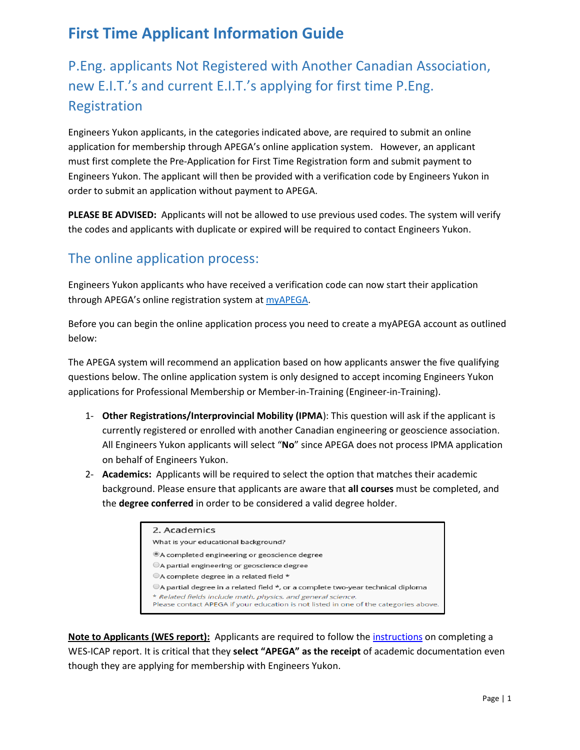# **First Time Applicant Information Guide**

# P.Eng. applicants Not Registered with Another Canadian Association, new E.I.T.'s and current E.I.T.'s applying for first time P.Eng. Registration

Engineers Yukon applicants, in the categories indicated above, are required to submit an online application for membership through APEGA's online application system. However, an applicant must first complete the Pre-Application for First Time Registration form and submit payment to Engineers Yukon. The applicant will then be provided with a verification code by Engineers Yukon in order to submit an application without payment to APEGA.

**PLEASE BE ADVISED:** Applicants will not be allowed to use previous used codes. The system will verify the codes and applicants with duplicate or expired will be required to contact Engineers Yukon.

## The online application process:

Engineers Yukon applicants who have received a verification code can now start their application through APEGA's online registration system at **myAPEGA**.

Before you can begin the online application process you need to create a myAPEGA account as outlined below:

The APEGA system will recommend an application based on how applicants answer the five qualifying questions below. The online application system is only designed to accept incoming Engineers Yukon applications for Professional Membership or Member-in-Training (Engineer-in-Training).

- 1- **Other Registrations/Interprovincial Mobility (IPMA**): This question will ask if the applicant is currently registered or enrolled with another Canadian engineering or geoscience association. All Engineers Yukon applicants will select "**No**" since APEGA does not process IPMA application on behalf of Engineers Yukon.
- 2- **Academics:** Applicants will be required to select the option that matches their academic background. Please ensure that applicants are aware that **all courses** must be completed, and the **degree conferred** in order to be considered a valid degree holder.

| 2. Academics                                                                                      |
|---------------------------------------------------------------------------------------------------|
| What is your educational background?                                                              |
| ®A completed engineering or geoscience degree                                                     |
| A partial engineering or geoscience degree                                                        |
| OA complete degree in a related field *                                                           |
| $\bigcirc$ A partial degree in a related field $\star$ , or a complete two-year technical diploma |
| * Related fields include math, physics, and general science.                                      |
| Please contact APEGA if your education is not listed in one of the categories above.              |

**Note to Applicants (WES report):** Applicants are required to follow th[e instructions](https://members.apega.ca/LinkedFiles/Instructions%20to%20Completion%20of%20a%20WES%20Application%20for%20APEGA%20Applicants.pdf) on completing a WES-ICAP report. It is critical that they **select "APEGA" as the receipt** of academic documentation even though they are applying for membership with Engineers Yukon.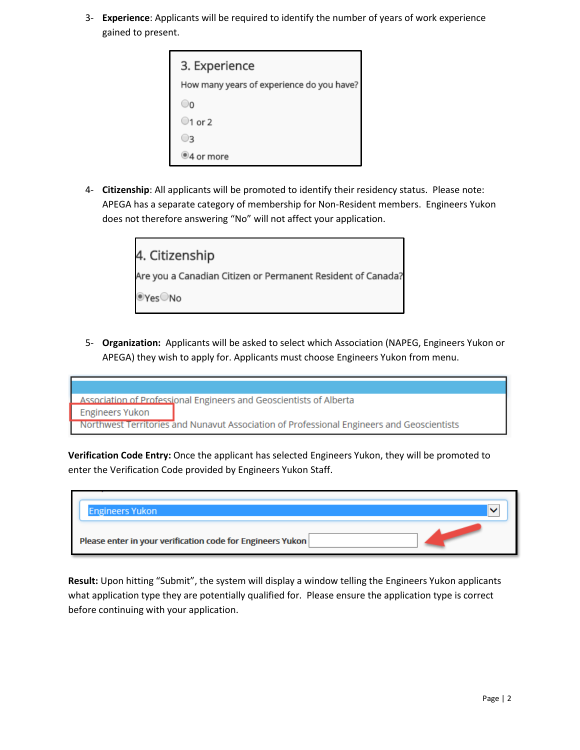3- **Experience**: Applicants will be required to identify the number of years of work experience gained to present.

| 3. Experience                             |
|-------------------------------------------|
| How many years of experience do you have? |
|                                           |
| $\bigcirc$ 1 or 2                         |
| R                                         |
| 94 or more                                |

4- **Citizenship**: All applicants will be promoted to identify their residency status. Please note: APEGA has a separate category of membership for Non-Resident members. Engineers Yukon does not therefore answering "No" will not affect your application.



5- **Organization:** Applicants will be asked to select which Association (NAPEG, Engineers Yukon or APEGA) they wish to apply for. Applicants must choose Engineers Yukon from menu.

Association of Professional Engineers and Geoscientists of Alberta **Engineers Yukon** Northwest Territories and Nunavut Association of Professional Engineers and Geoscientists

**Verification Code Entry:** Once the applicant has selected Engineers Yukon, they will be promoted to enter the Verification Code provided by Engineers Yukon Staff.

| <b>Engineers Yukon</b>                                     |  |
|------------------------------------------------------------|--|
| Please enter in your verification code for Engineers Yukon |  |

**Result:** Upon hitting "Submit", the system will display a window telling the Engineers Yukon applicants what application type they are potentially qualified for. Please ensure the application type is correct before continuing with your application.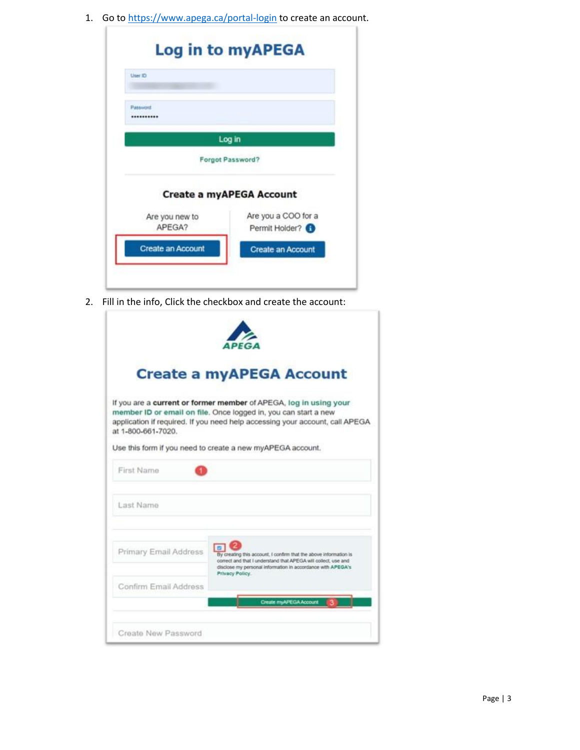1. Go to<https://www.apega.ca/portal-login> to create an account.

| User ID                  |                                       |
|--------------------------|---------------------------------------|
| Password<br>             |                                       |
|                          | Log in                                |
|                          | Forgot Password?                      |
|                          | <b>Create a myAPEGA Account</b>       |
| Are you new to<br>APEGA? | Are you a COO for a<br>Permit Holder? |
| Create an Account        | <b>Create an Account</b>              |

2. Fill in the info, Click the checkbox and create the account:

|                       | <b>Create a myAPEGA Account</b>                                                                                                                                                                                                                                                    |
|-----------------------|------------------------------------------------------------------------------------------------------------------------------------------------------------------------------------------------------------------------------------------------------------------------------------|
| at 1-800-661-7020.    | If you are a current or former member of APEGA, log in using your<br>member ID or email on file. Once logged in, you can start a new<br>application if required. If you need help accessing your account, call APEGA<br>Use this form if you need to create a new myAPEGA account. |
| First Name            |                                                                                                                                                                                                                                                                                    |
| Last Name             |                                                                                                                                                                                                                                                                                    |
| Primary Email Address | By creating this account, I confirm that the above information is<br>correct and that I understand that APEGA will collect, use and<br>disclose my personal information in accordance with APEGA's<br>Privacy Policy.                                                              |
| Confirm Email Address | <b>Create myAPEGA Account</b>                                                                                                                                                                                                                                                      |
| Create New Password   |                                                                                                                                                                                                                                                                                    |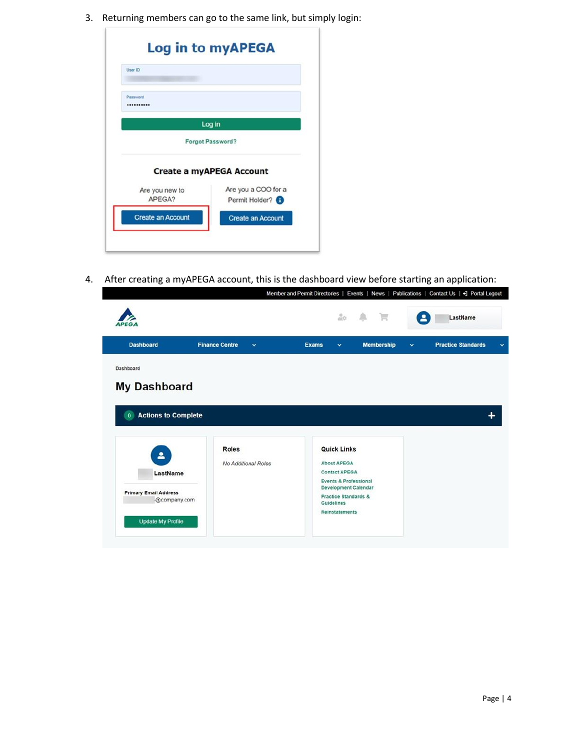3. Returning members can go to the same link, but simply login:

| User ID                  |                                 |
|--------------------------|---------------------------------|
| Password                 |                                 |
|                          |                                 |
|                          | Log in                          |
|                          | Forgot Password?                |
|                          | <b>Create a myAPEGA Account</b> |
| Are you new to           | Are you a COO for a             |
| APEGA?                   | Permit Holder?                  |
| <b>Create an Account</b> | <b>Create an Account</b>        |

4. After creating a myAPEGA account, this is the dashboard view before starting an application:<br>Member and Permit Directories | Events | News | Publications | Contact Us | 7 Portal Logout

| APEG                                                                                                 |                                       | $\frac{\partial}{\partial \lambda} \partial \lambda$                                                                                                                                                          | $\mathbb{R}$      | $\overline{\mathbf{a}}$ | LastName                  |              |
|------------------------------------------------------------------------------------------------------|---------------------------------------|---------------------------------------------------------------------------------------------------------------------------------------------------------------------------------------------------------------|-------------------|-------------------------|---------------------------|--------------|
| <b>Dashboard</b>                                                                                     | <b>Finance Centre</b><br>$\checkmark$ | <b>Exams</b><br>$\checkmark$                                                                                                                                                                                  | <b>Membership</b> | $\checkmark$            | <b>Practice Standards</b> | $\checkmark$ |
| Dashboard<br><b>My Dashboard</b><br><b>Actions to Complete</b><br>$\bf{0}$                           |                                       |                                                                                                                                                                                                               |                   |                         |                           | +            |
| $\mathbf{a}$<br>LastName<br><b>Primary Email Address</b><br>@company.com<br><b>Update My Profile</b> | Roles<br>No Additional Roles          | <b>Quick Links</b><br><b>About APEGA</b><br><b>Contact APEGA</b><br><b>Events &amp; Professional</b><br><b>Development Calendar</b><br><b>Practice Standards &amp;</b><br>Guidelines<br><b>Reinstatements</b> |                   |                         |                           |              |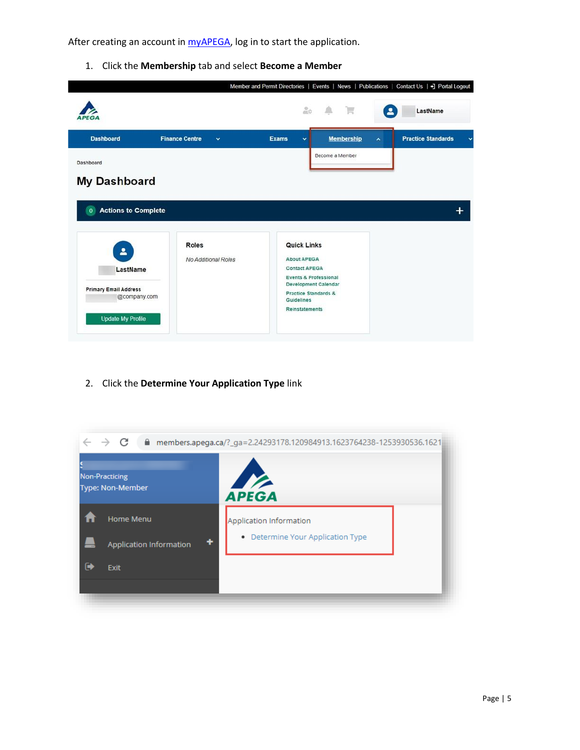After creating an account in  $m$ yAPEGA, log in to start the application.

1. Click the **Membership** tab and select **Become a Member**

|                                                                                           |                                       |                                                                                                                                                                                             |                   |                     | Member and Permit Directories   Events   News   Publications   Contact Us   - ] Portal Logout |
|-------------------------------------------------------------------------------------------|---------------------------------------|---------------------------------------------------------------------------------------------------------------------------------------------------------------------------------------------|-------------------|---------------------|-----------------------------------------------------------------------------------------------|
| <b>PEGA</b>                                                                               |                                       | $rac{0}{40}$                                                                                                                                                                                | ■ 一               | ≗                   | LastName                                                                                      |
| <b>Dashboard</b>                                                                          | <b>Finance Centre</b><br>$\checkmark$ | <b>Exams</b><br>v                                                                                                                                                                           | <b>Membership</b> | $\hat{\phantom{a}}$ | <b>Practice Standards</b><br>$\checkmark$                                                     |
| Dashboard                                                                                 |                                       |                                                                                                                                                                                             | Become a Member   |                     |                                                                                               |
| <b>My Dashboard</b>                                                                       |                                       |                                                                                                                                                                                             |                   |                     |                                                                                               |
| <b>Actions to Complete</b><br>$\bf{0}$                                                    |                                       |                                                                                                                                                                                             |                   |                     |                                                                                               |
| 2<br>LastName<br><b>Primary Email Address</b><br>@company.com<br><b>Update My Profile</b> | Roles<br>No Additional Roles          | <b>Quick Links</b><br><b>About APEGA</b><br><b>Contact APEGA</b><br>Events & Professional<br>Development Calendar<br><b>Practice Standards &amp;</b><br>Guidelines<br><b>Reinstatements</b> |                   |                     |                                                                                               |

2. Click the **Determine Your Application Type** link

| Non-Practicing<br>$\frac{1}{2}$<br><b>Type: Non-Member</b><br><b>APEGA</b><br>Home Menu<br>Application Information<br>Determine Your Application Type<br>٠<br>٠<br><b>Application Information</b><br>$\ddot{\phantom{1}}$<br><b>Exit</b> | $\rightarrow$ C | members.apega.ca/?_ga=2.24293178.120984913.1623764238-1253930536.1621 members.apega.ca/ |  |
|------------------------------------------------------------------------------------------------------------------------------------------------------------------------------------------------------------------------------------------|-----------------|-----------------------------------------------------------------------------------------|--|
|                                                                                                                                                                                                                                          |                 |                                                                                         |  |
|                                                                                                                                                                                                                                          |                 |                                                                                         |  |
|                                                                                                                                                                                                                                          |                 |                                                                                         |  |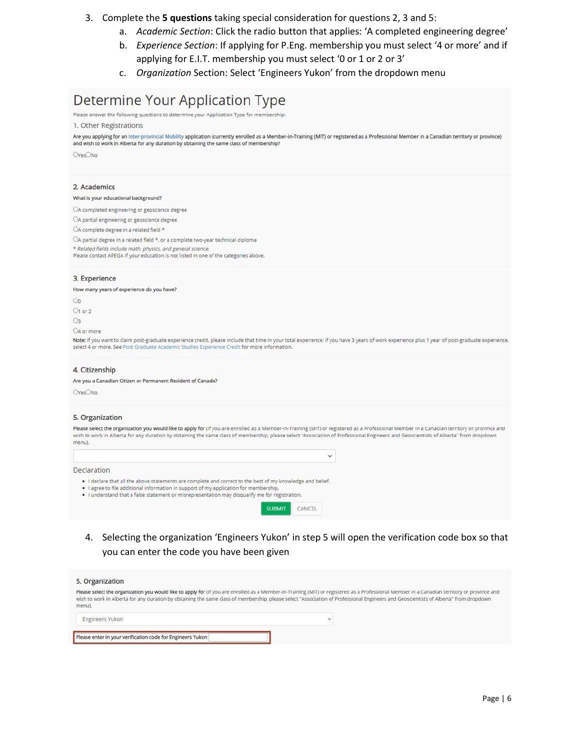### 3. Complete the **5 questions** taking special consideration for questions 2, 3 and 5:

- a. *Academic Section*: Click the radio button that applies: 'A completed engineering degree'
- b. *Experience Section*: If applying for P.Eng. membership you must select '4 or more' and if applying for E.I.T. membership you must select '0 or 1 or 2 or 3'
- c. *Organization* Section: Select 'Engineers Yukon' from the dropdown menu

## Determine Your Application Type

Please answer the following questions to determine your Application Type for membership:

1. Other Registrations

Are you applying for an Inter-provincial Mobility application (currently enrolled as a Member-in-Training (MIT) or registered as a Professional Member in a Canadian territory or province) and wish to work in Alberta for any duration by obtaining the same class of membership?

OYesONo

#### 2. Academics

#### What is your educational background?

OA completed engineering or geoscience degree

OA partial engineering or geoscience degree

OA complete degree in a related field \*

OA partial degree in a related field \*, or a complete two-year technical diploma

\* Related fields include math, physics, and general science. Please contact APEGA if your education is not listed in one of the categories above.

#### 3. Experience

How many years of experience do you have?

 $\infty$  $O1$  or  $2$ 

 $O3$ 

O4 or more

Note: If you want to claim post-graduate experience credit, please include that time in your total experience; if you have 3 years of work experience plus 1 year of post-graduate experience, select 4 or more. See Post Graduate Academic Studies Experience Credit for more information.

#### 4. Citizenship

Are you a Canadian Citizen or Permanent Resident of Canada?

OYesONo

#### 5. Organization

Please select the organization you would like to apply for (if you are enrolled as a Member-in-Training (MIT) or registered as a Professional Member in a Canadian territory or province and wish to work in Alberta for any duration by obtaining the same class of membership, please select "Association of Professional Engineers and Geoscientists of Alberta" from dropdown menu).

 $\check{~}$ 

Declaration

- . I declare that all the above statements are complete and correct to the best of my knowledge and belief.
- . I agree to file additional information in support of my application for membership . I understand that a false statement or misrepresentation may disqualify me for registration



4. Selecting the organization 'Engineers Yukon' in step 5 will open the verification code box so that you can enter the code you have been given

| 5. Organization                                            |                                                                                                                                                                                                                                                                                                                                                                                      |  |
|------------------------------------------------------------|--------------------------------------------------------------------------------------------------------------------------------------------------------------------------------------------------------------------------------------------------------------------------------------------------------------------------------------------------------------------------------------|--|
| menu).                                                     | Please select the organization you would like to apply for (If you are enrolled as a Member-in-Training (MIT) or registered as a Professional Member in a Canadian territory or province and<br>wish to work in Alberta for any duration by obtaining the same class of membership, please select "Association of Professional Engineers and Geoscientists of Alberta" from dropdown |  |
| Engineers Yukon                                            | $\checkmark$                                                                                                                                                                                                                                                                                                                                                                         |  |
| Please enter in your verification code for Engineers Yukon |                                                                                                                                                                                                                                                                                                                                                                                      |  |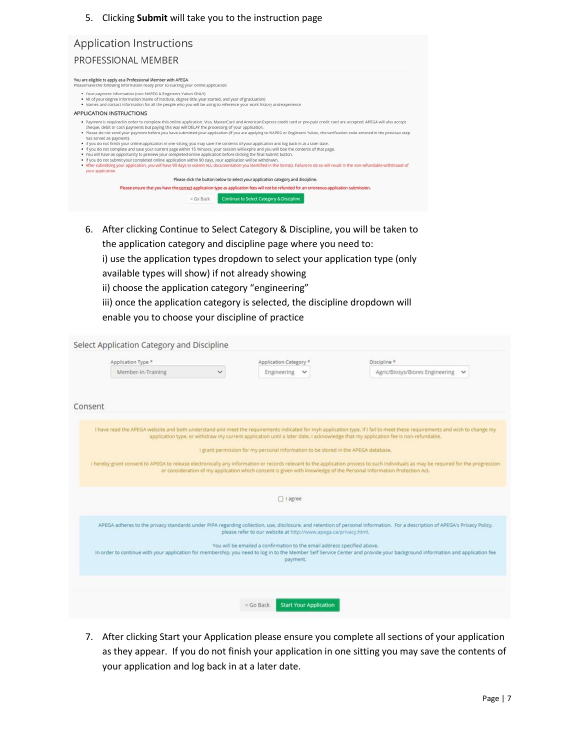### 5. Clicking **Submit** will take you to the instruction page

| Application Instructions                                                                                                                                                                                                                                          |                                                                                                                                                                                                                                                                                                                                                                                                                                                                                                                                                                                                                                                                                                                                                                                                                                                                                                                                                                                            |
|-------------------------------------------------------------------------------------------------------------------------------------------------------------------------------------------------------------------------------------------------------------------|--------------------------------------------------------------------------------------------------------------------------------------------------------------------------------------------------------------------------------------------------------------------------------------------------------------------------------------------------------------------------------------------------------------------------------------------------------------------------------------------------------------------------------------------------------------------------------------------------------------------------------------------------------------------------------------------------------------------------------------------------------------------------------------------------------------------------------------------------------------------------------------------------------------------------------------------------------------------------------------------|
| PROFESSIONAL MEMBER                                                                                                                                                                                                                                               |                                                                                                                                                                                                                                                                                                                                                                                                                                                                                                                                                                                                                                                                                                                                                                                                                                                                                                                                                                                            |
| You are eligible to apply as a Professional Member with APEGA.<br>Please have the following information ready prior to starting your online application:                                                                                                          |                                                                                                                                                                                                                                                                                                                                                                                                                                                                                                                                                                                                                                                                                                                                                                                                                                                                                                                                                                                            |
| . Your payment information (non-NAPEG & Engineers Yukon ONLY)<br>. All of your degree information (name of institute, degree title, year started, and year of graduation)                                                                                         | . Names and contact information for all the people who you will be using to reference your work history and experience                                                                                                                                                                                                                                                                                                                                                                                                                                                                                                                                                                                                                                                                                                                                                                                                                                                                     |
| APPLICATION INSTRUCTIONS                                                                                                                                                                                                                                          |                                                                                                                                                                                                                                                                                                                                                                                                                                                                                                                                                                                                                                                                                                                                                                                                                                                                                                                                                                                            |
| cheque, debit or cash payments but paying this way will DELAY the processing of your application.<br>has served as payment).<br>. If you do not submit your completed online application within 90 days, your application will be withdrawn.<br>your application. | . Payment is required in order to complete this online application. Visa, MasterCard and American Express credit card or pre-paid credit card are accepted. APEGA will also accept<br>. Please do not send your payment before you have submitted your application (if you are applying to NAPEG or Engineers Yukon, the verification code entered in the previous step<br>. If you do not finish your online application in one sitting, you may save the contents of your application and log back in at a later date.<br>. If you do not complete and save your current page within 15 minutes, your session will expire and you will lose the contents of that page.<br>. You will have an opportunity to preview your completed online application before clicking the final Submit button.<br>. After submitting your application, you will have 90 days to submit ALL documentation you identified in the form(s). Failure to do so will result in the non-refundable withdrawal of |
|                                                                                                                                                                                                                                                                   | Please click the button below to select your application category and discipline.                                                                                                                                                                                                                                                                                                                                                                                                                                                                                                                                                                                                                                                                                                                                                                                                                                                                                                          |
|                                                                                                                                                                                                                                                                   | Please ensure that you have the correct application type as application fees will not be refunded for an erroneous application submission.                                                                                                                                                                                                                                                                                                                                                                                                                                                                                                                                                                                                                                                                                                                                                                                                                                                 |
|                                                                                                                                                                                                                                                                   | Continue to Select Category & Discipline<br>$<$ Go Back                                                                                                                                                                                                                                                                                                                                                                                                                                                                                                                                                                                                                                                                                                                                                                                                                                                                                                                                    |

6. After clicking Continue to Select Category & Discipline, you will be taken to the application category and discipline page where you need to:

i) use the application types dropdown to select your application type (only available types will show) if not already showing

- ii) choose the application category "engineering"
- iii) once the application category is selected, the discipline dropdown will
- enable you to choose your discipline of practice

| Application Type * | Application Category *                                                                                               | Discipline *                                                                                                                                                                        |
|--------------------|----------------------------------------------------------------------------------------------------------------------|-------------------------------------------------------------------------------------------------------------------------------------------------------------------------------------|
| Member-In-Training | Engineering<br>$\checkmark$                                                                                          | Agric/Biosys/Biores Engineering<br>$\checkmark$                                                                                                                                     |
|                    |                                                                                                                      |                                                                                                                                                                                     |
| Consent            |                                                                                                                      |                                                                                                                                                                                     |
|                    |                                                                                                                      |                                                                                                                                                                                     |
|                    |                                                                                                                      | I have read the APEGA website and both understand and meet the requirements indicated for myh application type. If I fail to meet these requirements and wish to change my          |
|                    |                                                                                                                      | application type, or withdraw my current application until a later date, I acknowledge that my application fee is non-refundable.                                                   |
|                    | I grant permission for my personal information to be stored in the APEGA database.                                   |                                                                                                                                                                                     |
|                    |                                                                                                                      | I hereby grant consent to APEGA to release electronically any information or records relevant to the application process to such individuals as may be required for the progression |
|                    | or consideration of my application which consent is given with knowledge of the Personal Information Protection Act. |                                                                                                                                                                                     |
|                    |                                                                                                                      |                                                                                                                                                                                     |
|                    | □ lagree                                                                                                             |                                                                                                                                                                                     |
|                    |                                                                                                                      |                                                                                                                                                                                     |
|                    | please refer to our website at http://www.apega.ca/privacy.html.                                                     | APEGA adheres to the privacy standards under PIPA regarding collection, use, disclosure, and retention of personal information. For a description of APEGA's Privacy Policy,        |
|                    | You will be emailed a confirmation to the email address specified above.                                             |                                                                                                                                                                                     |
|                    | payment.                                                                                                             | In order to continue with your application for membership, you need to log in to the Member Self Service Center and provide your background information and application fee         |
|                    |                                                                                                                      |                                                                                                                                                                                     |
|                    |                                                                                                                      |                                                                                                                                                                                     |
|                    |                                                                                                                      |                                                                                                                                                                                     |

7. After clicking Start your Application please ensure you complete all sections of your application as they appear. If you do not finish your application in one sitting you may save the contents of your application and log back in at a later date.